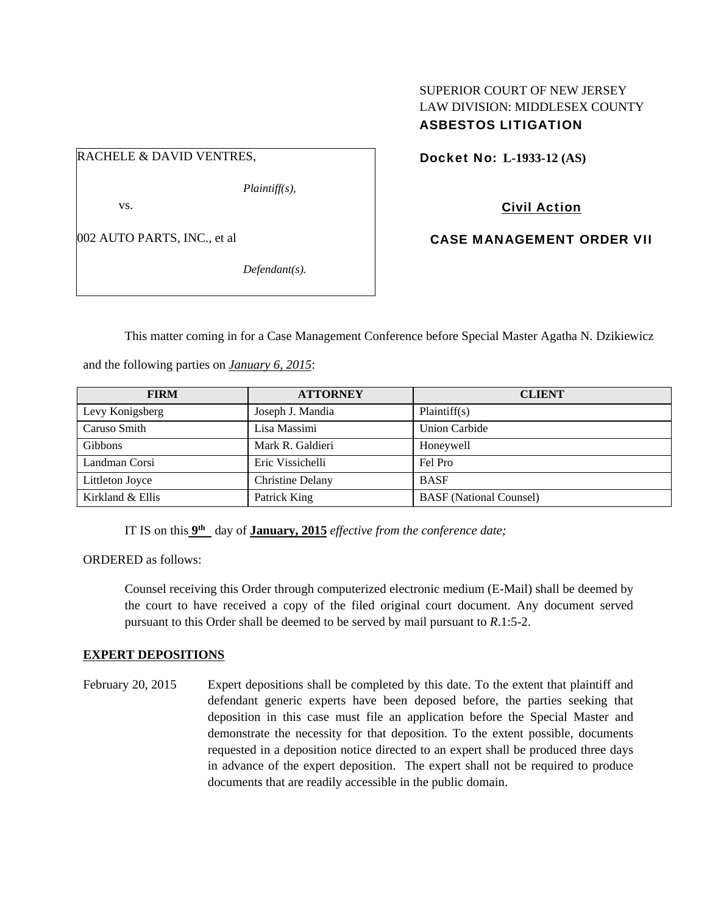## SUPERIOR COURT OF NEW JERSEY LAW DIVISION: MIDDLESEX COUNTY ASBESTOS LITIGATION

RACHELE & DAVID VENTRES,

*Plaintiff(s),* 

vs.

002 AUTO PARTS, INC., et al

*Defendant(s).* 

Docket No: **L-1933-12 (AS)** 

Civil Action

CASE MANAGEMENT ORDER VII

This matter coming in for a Case Management Conference before Special Master Agatha N. Dzikiewicz

and the following parties on *January 6, 2015*:

| <b>FIRM</b>      | <b>ATTORNEY</b>         | <b>CLIENT</b>                  |
|------------------|-------------------------|--------------------------------|
| Levy Konigsberg  | Joseph J. Mandia        | Plaintiff(s)                   |
| Caruso Smith     | Lisa Massimi            | <b>Union Carbide</b>           |
| <b>Gibbons</b>   | Mark R. Galdieri        | Honeywell                      |
| Landman Corsi    | Eric Vissichelli        | Fel Pro                        |
| Littleton Joyce  | <b>Christine Delany</b> | <b>BASF</b>                    |
| Kirkland & Ellis | Patrick King            | <b>BASF</b> (National Counsel) |

IT IS on this **9th** day of **January, 2015** *effective from the conference date;*

ORDERED as follows:

Counsel receiving this Order through computerized electronic medium (E-Mail) shall be deemed by the court to have received a copy of the filed original court document. Any document served pursuant to this Order shall be deemed to be served by mail pursuant to *R*.1:5-2.

## **EXPERT DEPOSITIONS**

February 20, 2015 Expert depositions shall be completed by this date. To the extent that plaintiff and defendant generic experts have been deposed before, the parties seeking that deposition in this case must file an application before the Special Master and demonstrate the necessity for that deposition. To the extent possible, documents requested in a deposition notice directed to an expert shall be produced three days in advance of the expert deposition. The expert shall not be required to produce documents that are readily accessible in the public domain.